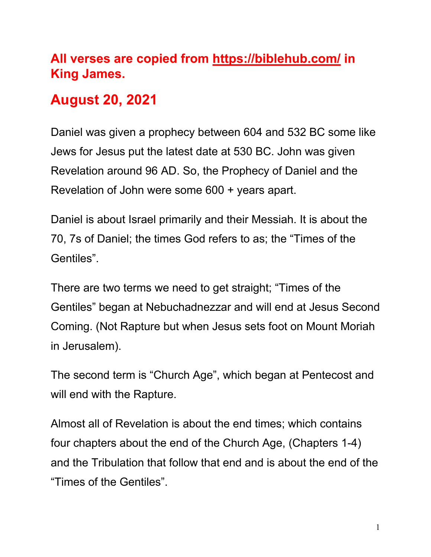### **All verses are copied from https://biblehub.com/ in King James.**

### **August 20, 2021**

Daniel was given a prophecy between 604 and 532 BC some like Jews for Jesus put the latest date at 530 BC. John was given Revelation around 96 AD. So, the Prophecy of Daniel and the Revelation of John were some 600 + years apart.

Daniel is about Israel primarily and their Messiah. It is about the 70, 7s of Daniel; the times God refers to as; the "Times of the Gentiles".

There are two terms we need to get straight; "Times of the Gentiles" began at Nebuchadnezzar and will end at Jesus Second Coming. (Not Rapture but when Jesus sets foot on Mount Moriah in Jerusalem).

The second term is "Church Age", which began at Pentecost and will end with the Rapture.

Almost all of Revelation is about the end times; which contains four chapters about the end of the Church Age, (Chapters 1-4) and the Tribulation that follow that end and is about the end of the "Times of the Gentiles".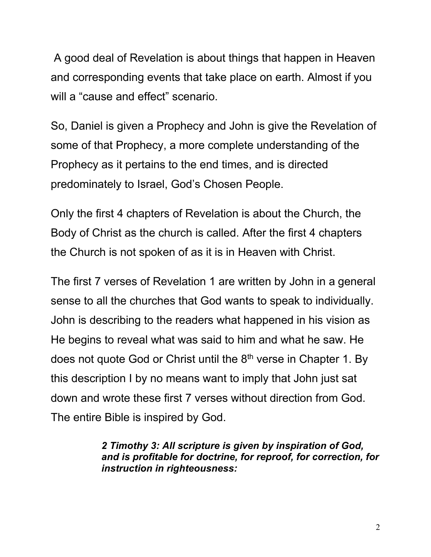A good deal of Revelation is about things that happen in Heaven and corresponding events that take place on earth. Almost if you will a "cause and effect" scenario.

So, Daniel is given a Prophecy and John is give the Revelation of some of that Prophecy, a more complete understanding of the Prophecy as it pertains to the end times, and is directed predominately to Israel, God's Chosen People.

Only the first 4 chapters of Revelation is about the Church, the Body of Christ as the church is called. After the first 4 chapters the Church is not spoken of as it is in Heaven with Christ.

The first 7 verses of Revelation 1 are written by John in a general sense to all the churches that God wants to speak to individually. John is describing to the readers what happened in his vision as He begins to reveal what was said to him and what he saw. He does not quote God or Christ until the 8<sup>th</sup> verse in Chapter 1. By this description I by no means want to imply that John just sat down and wrote these first 7 verses without direction from God. The entire Bible is inspired by God.

> *2 Timothy 3: All scripture is given by inspiration of God, and is profitable for doctrine, for reproof, for correction, for instruction in righteousness:*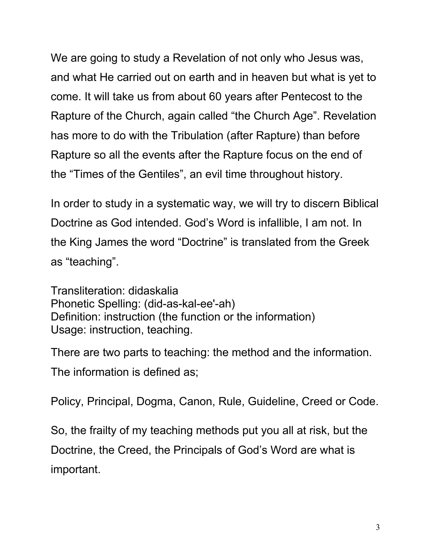We are going to study a Revelation of not only who Jesus was, and what He carried out on earth and in heaven but what is yet to come. It will take us from about 60 years after Pentecost to the Rapture of the Church, again called "the Church Age". Revelation has more to do with the Tribulation (after Rapture) than before Rapture so all the events after the Rapture focus on the end of the "Times of the Gentiles", an evil time throughout history.

In order to study in a systematic way, we will try to discern Biblical Doctrine as God intended. God's Word is infallible, I am not. In the King James the word "Doctrine" is translated from the Greek as "teaching".

Transliteration: didaskalia Phonetic Spelling: (did-as-kal-ee'-ah) Definition: instruction (the function or the information) Usage: instruction, teaching.

There are two parts to teaching: the method and the information.

The information is defined as;

Policy, Principal, Dogma, Canon, Rule, Guideline, Creed or Code.

So, the frailty of my teaching methods put you all at risk, but the Doctrine, the Creed, the Principals of God's Word are what is important.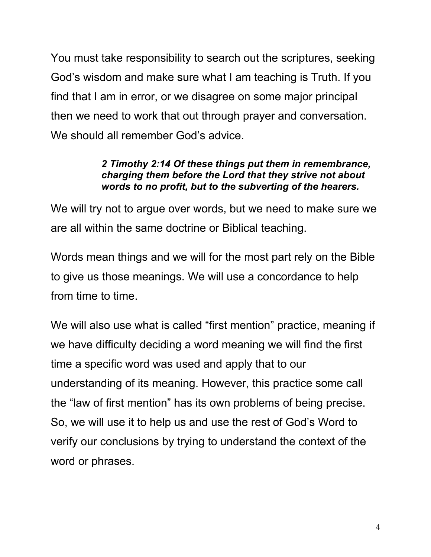You must take responsibility to search out the scriptures, seeking God's wisdom and make sure what I am teaching is Truth. If you find that I am in error, or we disagree on some major principal then we need to work that out through prayer and conversation. We should all remember God's advice.

#### *2 Timothy 2:14 Of these things put them in remembrance, charging them before the Lord that they strive not about words to no profit, but to the subverting of the hearers.*

We will try not to argue over words, but we need to make sure we are all within the same doctrine or Biblical teaching.

Words mean things and we will for the most part rely on the Bible to give us those meanings. We will use a concordance to help from time to time.

We will also use what is called "first mention" practice, meaning if we have difficulty deciding a word meaning we will find the first time a specific word was used and apply that to our understanding of its meaning. However, this practice some call the "law of first mention" has its own problems of being precise. So, we will use it to help us and use the rest of God's Word to verify our conclusions by trying to understand the context of the word or phrases.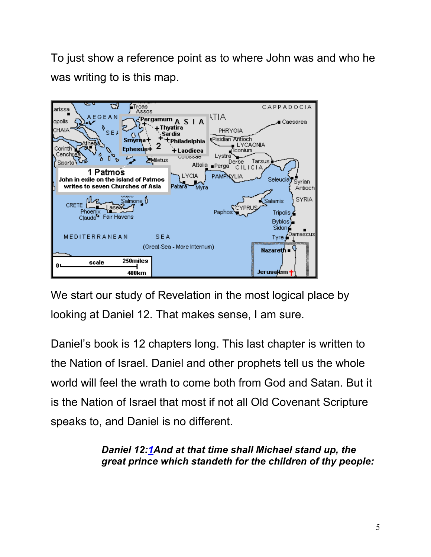To just show a reference point as to where John was and who he was writing to is this map.



We start our study of Revelation in the most logical place by looking at Daniel 12. That makes sense, I am sure.

Daniel's book is 12 chapters long. This last chapter is written to the Nation of Israel. Daniel and other prophets tell us the whole world will feel the wrath to come both from God and Satan. But it is the Nation of Israel that most if not all Old Covenant Scripture speaks to, and Daniel is no different.

> *Daniel 12:1And at that time shall Michael stand up, the great prince which standeth for the children of thy people:*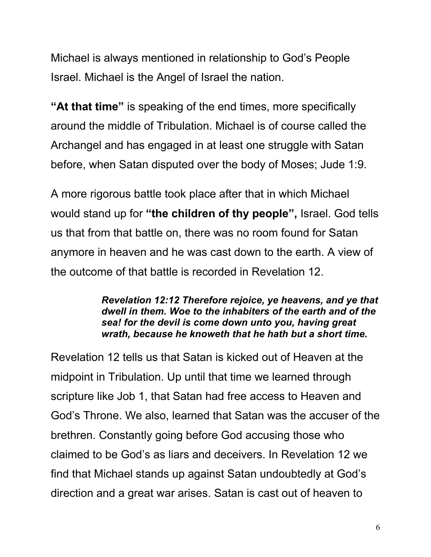Michael is always mentioned in relationship to God's People Israel. Michael is the Angel of Israel the nation.

**"At that time"** is speaking of the end times, more specifically around the middle of Tribulation. Michael is of course called the Archangel and has engaged in at least one struggle with Satan before, when Satan disputed over the body of Moses; Jude 1:9.

A more rigorous battle took place after that in which Michael would stand up for **"the children of thy people",** Israel. God tells us that from that battle on, there was no room found for Satan anymore in heaven and he was cast down to the earth. A view of the outcome of that battle is recorded in Revelation 12.

> *Revelation 12:12 Therefore rejoice, ye heavens, and ye that dwell in them. Woe to the inhabiters of the earth and of the sea! for the devil is come down unto you, having great wrath, because he knoweth that he hath but a short time.*

Revelation 12 tells us that Satan is kicked out of Heaven at the midpoint in Tribulation. Up until that time we learned through scripture like Job 1, that Satan had free access to Heaven and God's Throne. We also, learned that Satan was the accuser of the brethren. Constantly going before God accusing those who claimed to be God's as liars and deceivers. In Revelation 12 we find that Michael stands up against Satan undoubtedly at God's direction and a great war arises. Satan is cast out of heaven to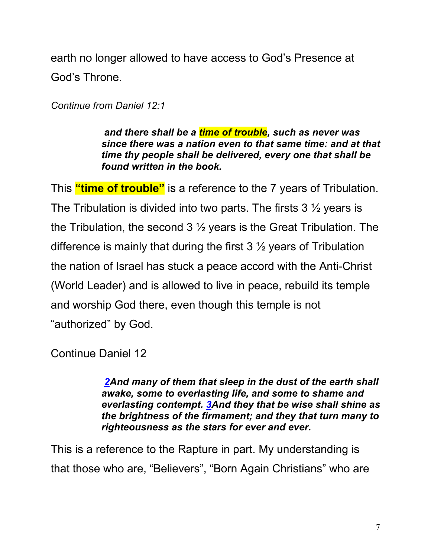earth no longer allowed to have access to God's Presence at God's Throne.

*Continue from Daniel 12:1*

*and there shall be a time of trouble, such as never was since there was a nation even to that same time: and at that time thy people shall be delivered, every one that shall be found written in the book.*

This **"time of trouble"** is a reference to the 7 years of Tribulation. The Tribulation is divided into two parts. The firsts  $3\frac{1}{2}$  years is the Tribulation, the second 3 ½ years is the Great Tribulation. The difference is mainly that during the first  $3\frac{1}{2}$  years of Tribulation the nation of Israel has stuck a peace accord with the Anti-Christ (World Leader) and is allowed to live in peace, rebuild its temple and worship God there, even though this temple is not "authorized" by God.

Continue Daniel 12

*2And many of them that sleep in the dust of the earth shall awake, some to everlasting life, and some to shame and everlasting contempt. 3And they that be wise shall shine as the brightness of the firmament; and they that turn many to righteousness as the stars for ever and ever.*

This is a reference to the Rapture in part. My understanding is that those who are, "Believers", "Born Again Christians" who are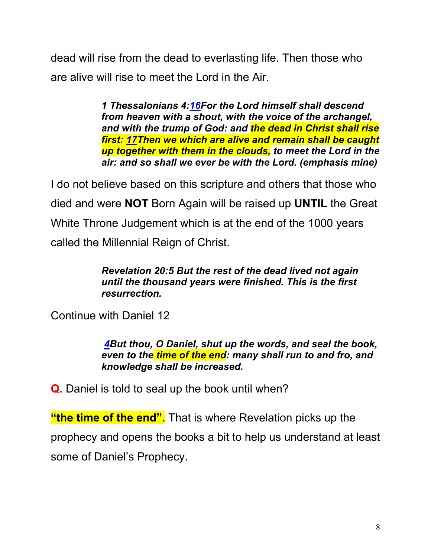dead will rise from the dead to everlasting life. Then those who are alive will rise to meet the Lord in the Air.

> *1 Thessalonians 4:16For the Lord himself shall descend from heaven with a shout, with the voice of the archangel, and with the trump of God: and the dead in Christ shall rise first: 17Then we which are alive and remain shall be caught up together with them in the clouds, to meet the Lord in the air: and so shall we ever be with the Lord. (emphasis mine)*

I do not believe based on this scripture and others that those who died and were **NOT** Born Again will be raised up **UNTIL** the Great White Throne Judgement which is at the end of the 1000 years called the Millennial Reign of Christ.

#### *Revelation 20:5 But the rest of the dead lived not again until the thousand years were finished. This is the first resurrection.*

Continue with Daniel 12

*4But thou, O Daniel, shut up the words, and seal the book, even to the time of the end: many shall run to and fro, and knowledge shall be increased.*

**Q.** Daniel is told to seal up the book until when?

**"the time of the end".** That is where Revelation picks up the prophecy and opens the books a bit to help us understand at least some of Daniel's Prophecy.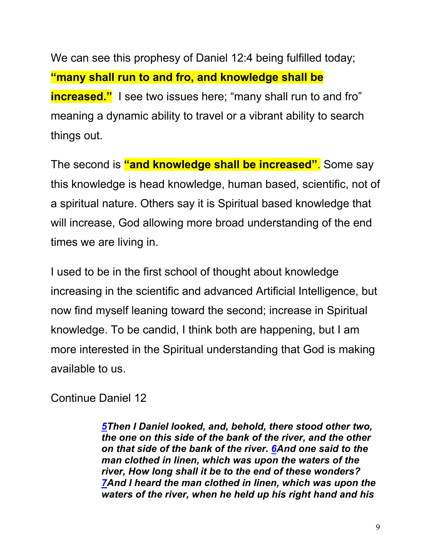We can see this prophesy of Daniel 12:4 being fulfilled today; **"many shall run to and fro, and knowledge shall be increased."** I see two issues here; "many shall run to and fro" meaning a dynamic ability to travel or a vibrant ability to search things out.

The second is **"and knowledge shall be increased"**. Some say this knowledge is head knowledge, human based, scientific, not of a spiritual nature. Others say it is Spiritual based knowledge that will increase, God allowing more broad understanding of the end times we are living in.

I used to be in the first school of thought about knowledge increasing in the scientific and advanced Artificial Intelligence, but now find myself leaning toward the second; increase in Spiritual knowledge. To be candid, I think both are happening, but I am more interested in the Spiritual understanding that God is making available to us.

Continue Daniel 12

*5Then I Daniel looked, and, behold, there stood other two, the one on this side of the bank of the river, and the other on that side of the bank of the river. 6And one said to the man clothed in linen, which was upon the waters of the river, How long shall it be to the end of these wonders? 7And I heard the man clothed in linen, which was upon the waters of the river, when he held up his right hand and his*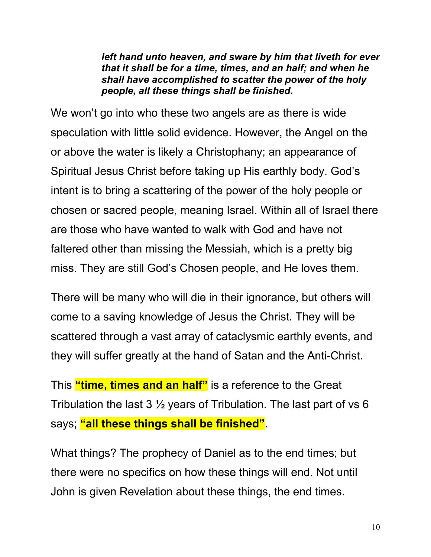*left hand unto heaven, and sware by him that liveth for ever that it shall be for a time, times, and an half; and when he shall have accomplished to scatter the power of the holy people, all these things shall be finished.*

We won't go into who these two angels are as there is wide speculation with little solid evidence. However, the Angel on the or above the water is likely a Christophany; an appearance of Spiritual Jesus Christ before taking up His earthly body. God's intent is to bring a scattering of the power of the holy people or chosen or sacred people, meaning Israel. Within all of Israel there are those who have wanted to walk with God and have not faltered other than missing the Messiah, which is a pretty big miss. They are still God's Chosen people, and He loves them.

There will be many who will die in their ignorance, but others will come to a saving knowledge of Jesus the Christ. They will be scattered through a vast array of cataclysmic earthly events, and they will suffer greatly at the hand of Satan and the Anti-Christ.

This **"time, times and an half"** is a reference to the Great Tribulation the last  $3\frac{1}{2}$  years of Tribulation. The last part of vs 6 says; **"all these things shall be finished"**.

What things? The prophecy of Daniel as to the end times; but there were no specifics on how these things will end. Not until John is given Revelation about these things, the end times.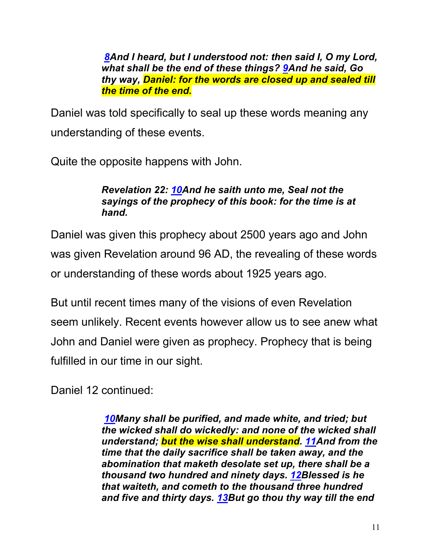*8And I heard, but I understood not: then said I, O my Lord, what shall be the end of these things? 9And he said, Go thy way, Daniel: for the words are closed up and sealed till the time of the end.*

Daniel was told specifically to seal up these words meaning any understanding of these events.

Quite the opposite happens with John.

#### *Revelation 22: 10And he saith unto me, Seal not the sayings of the prophecy of this book: for the time is at hand.*

Daniel was given this prophecy about 2500 years ago and John was given Revelation around 96 AD, the revealing of these words or understanding of these words about 1925 years ago.

But until recent times many of the visions of even Revelation seem unlikely. Recent events however allow us to see anew what John and Daniel were given as prophecy. Prophecy that is being fulfilled in our time in our sight.

Daniel 12 continued:

*10Many shall be purified, and made white, and tried; but the wicked shall do wickedly: and none of the wicked shall understand; but the wise shall understand. 11And from the time that the daily sacrifice shall be taken away, and the abomination that maketh desolate set up, there shall be a thousand two hundred and ninety days. 12Blessed is he that waiteth, and cometh to the thousand three hundred and five and thirty days. 13But go thou thy way till the end*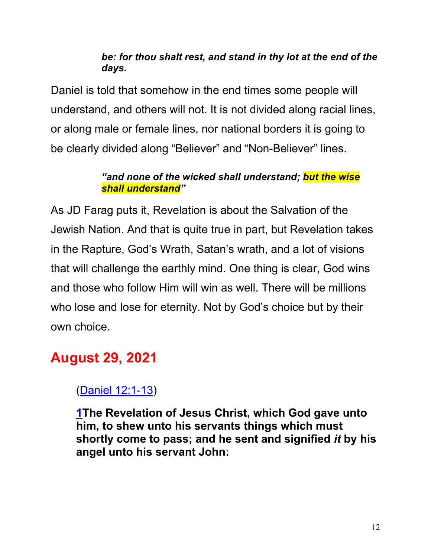#### *be: for thou shalt rest, and stand in thy lot at the end of the days.*

Daniel is told that somehow in the end times some people will understand, and others will not. It is not divided along racial lines, or along male or female lines, nor national borders it is going to be clearly divided along "Believer" and "Non-Believer" lines.

#### *"and none of the wicked shall understand; but the wise shall understand"*

As JD Farag puts it, Revelation is about the Salvation of the Jewish Nation. And that is quite true in part, but Revelation takes in the Rapture, God's Wrath, Satan's wrath, and a lot of visions that will challenge the earthly mind. One thing is clear, God wins and those who follow Him will win as well. There will be millions who lose and lose for eternity. Not by God's choice but by their own choice.

### **August 29, 2021**

### (Daniel 12:1-13)

**1The Revelation of Jesus Christ, which God gave unto him, to shew unto his servants things which must shortly come to pass; and he sent and signified** *it* **by his angel unto his servant John:**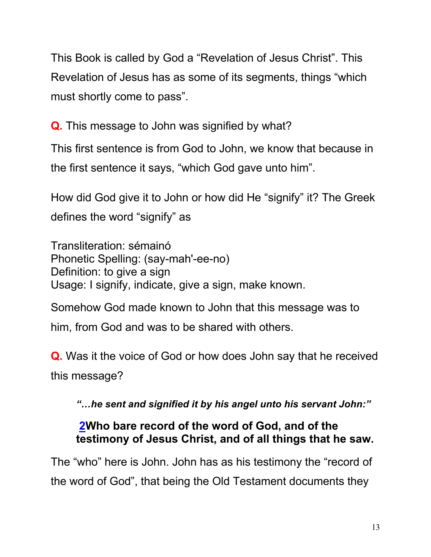This Book is called by God a "Revelation of Jesus Christ". This Revelation of Jesus has as some of its segments, things "which must shortly come to pass".

**Q.** This message to John was signified by what?

This first sentence is from God to John, we know that because in the first sentence it says, "which God gave unto him".

How did God give it to John or how did He "signify" it? The Greek defines the word "signify" as

Transliteration: sémainó Phonetic Spelling: (say-mah'-ee-no) Definition: to give a sign Usage: I signify, indicate, give a sign, make known.

Somehow God made known to John that this message was to him, from God and was to be shared with others.

**Q.** Was it the voice of God or how does John say that he received this message?

*"…he sent and signified it by his angel unto his servant John:"*

#### **2Who bare record of the word of God, and of the testimony of Jesus Christ, and of all things that he saw.**

The "who" here is John. John has as his testimony the "record of the word of God", that being the Old Testament documents they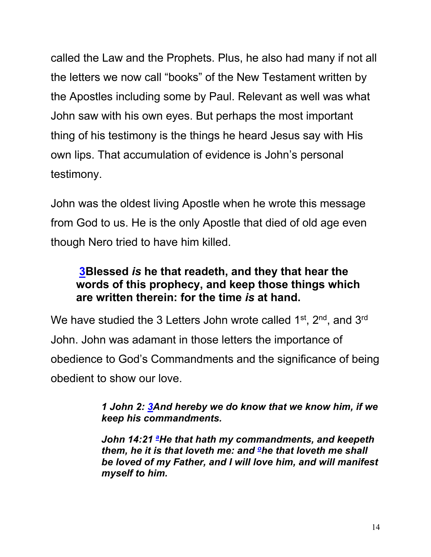called the Law and the Prophets. Plus, he also had many if not all the letters we now call "books" of the New Testament written by the Apostles including some by Paul. Relevant as well was what John saw with his own eyes. But perhaps the most important thing of his testimony is the things he heard Jesus say with His own lips. That accumulation of evidence is John's personal testimony.

John was the oldest living Apostle when he wrote this message from God to us. He is the only Apostle that died of old age even though Nero tried to have him killed.

#### **3Blessed** *is* **he that readeth, and they that hear the words of this prophecy, and keep those things which are written therein: for the time** *is* **at hand.**

We have studied the 3 Letters John wrote called 1<sup>st</sup>, 2<sup>nd</sup>, and 3<sup>rd</sup> John. John was adamant in those letters the importance of obedience to God's Commandments and the significance of being obedient to show our love.

#### *1 John 2: 3And hereby we do know that we know him, if we keep his commandments.*

*John 14:21 <sup>a</sup> He that hath my commandments, and keepeth them, he it is that loveth me: and <sup>o</sup>he that loveth me shall be loved of my Father, and I will love him, and will manifest myself to him.*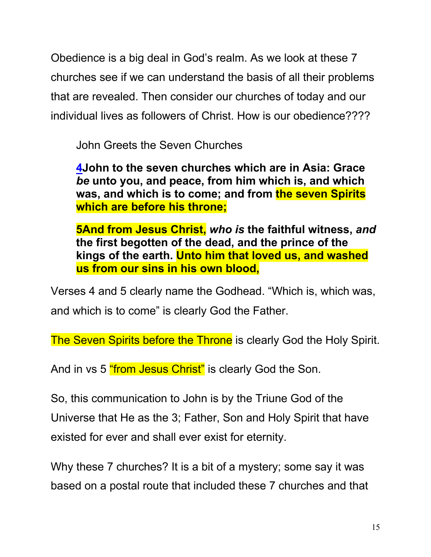Obedience is a big deal in God's realm. As we look at these 7 churches see if we can understand the basis of all their problems that are revealed. Then consider our churches of today and our individual lives as followers of Christ. How is our obedience????

John Greets the Seven Churches

**4John to the seven churches which are in Asia: Grace**  *be* **unto you, and peace, from him which is, and which was, and which is to come; and from the seven Spirits which are before his throne;**

**5And from Jesus Christ,** *who is* **the faithful witness,** *and* **the first begotten of the dead, and the prince of the kings of the earth. Unto him that loved us, and washed us from our sins in his own blood,**

Verses 4 and 5 clearly name the Godhead. "Which is, which was, and which is to come" is clearly God the Father.

The Seven Spirits before the Throne is clearly God the Holy Spirit.

And in vs 5 "from Jesus Christ" is clearly God the Son.

So, this communication to John is by the Triune God of the Universe that He as the 3; Father, Son and Holy Spirit that have existed for ever and shall ever exist for eternity.

Why these 7 churches? It is a bit of a mystery; some say it was based on a postal route that included these 7 churches and that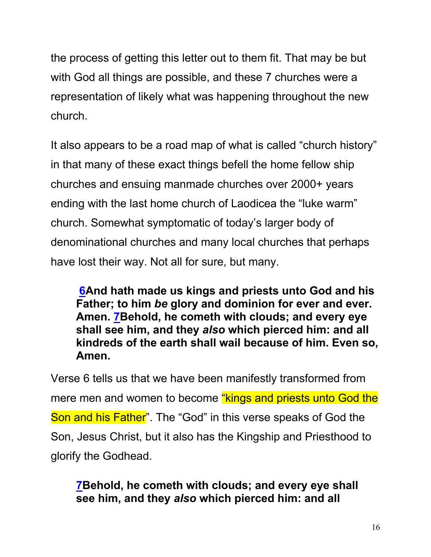the process of getting this letter out to them fit. That may be but with God all things are possible, and these 7 churches were a representation of likely what was happening throughout the new church.

It also appears to be a road map of what is called "church history" in that many of these exact things befell the home fellow ship churches and ensuing manmade churches over 2000+ years ending with the last home church of Laodicea the "luke warm" church. Somewhat symptomatic of today's larger body of denominational churches and many local churches that perhaps have lost their way. Not all for sure, but many.

**6And hath made us kings and priests unto God and his Father; to him** *be* **glory and dominion for ever and ever. Amen. 7Behold, he cometh with clouds; and every eye shall see him, and they** *also* **which pierced him: and all kindreds of the earth shall wail because of him. Even so, Amen.**

Verse 6 tells us that we have been manifestly transformed from mere men and women to become "kings and priests unto God the Son and his Father". The "God" in this verse speaks of God the Son, Jesus Christ, but it also has the Kingship and Priesthood to glorify the Godhead.

**7Behold, he cometh with clouds; and every eye shall see him, and they** *also* **which pierced him: and all**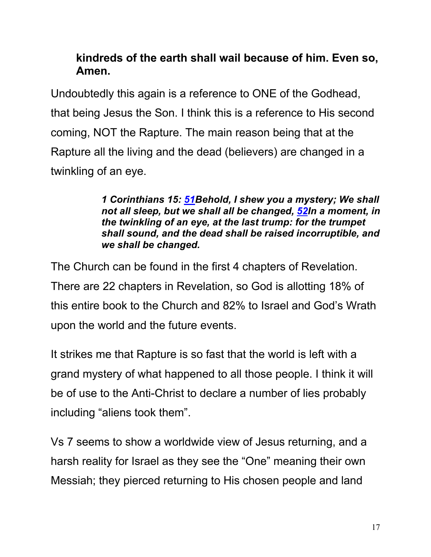#### **kindreds of the earth shall wail because of him. Even so, Amen.**

Undoubtedly this again is a reference to ONE of the Godhead, that being Jesus the Son. I think this is a reference to His second coming, NOT the Rapture. The main reason being that at the Rapture all the living and the dead (believers) are changed in a twinkling of an eye.

> *1 Corinthians 15: 51Behold, I shew you a mystery; We shall not all sleep, but we shall all be changed, 52In a moment, in the twinkling of an eye, at the last trump: for the trumpet shall sound, and the dead shall be raised incorruptible, and we shall be changed.*

The Church can be found in the first 4 chapters of Revelation. There are 22 chapters in Revelation, so God is allotting 18% of this entire book to the Church and 82% to Israel and God's Wrath upon the world and the future events.

It strikes me that Rapture is so fast that the world is left with a grand mystery of what happened to all those people. I think it will be of use to the Anti-Christ to declare a number of lies probably including "aliens took them".

Vs 7 seems to show a worldwide view of Jesus returning, and a harsh reality for Israel as they see the "One" meaning their own Messiah; they pierced returning to His chosen people and land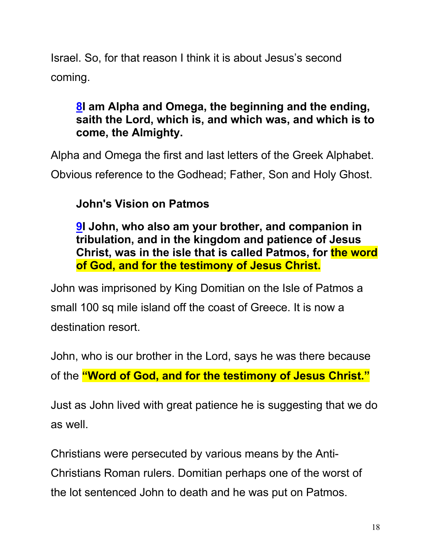Israel. So, for that reason I think it is about Jesus's second coming.

#### **8I am Alpha and Omega, the beginning and the ending, saith the Lord, which is, and which was, and which is to come, the Almighty.**

Alpha and Omega the first and last letters of the Greek Alphabet. Obvious reference to the Godhead; Father, Son and Holy Ghost.

### **John's Vision on Patmos**

**9I John, who also am your brother, and companion in tribulation, and in the kingdom and patience of Jesus Christ, was in the isle that is called Patmos, for the word of God, and for the testimony of Jesus Christ.**

John was imprisoned by King Domitian on the Isle of Patmos a small 100 sq mile island off the coast of Greece. It is now a destination resort.

John, who is our brother in the Lord, says he was there because of the **"Word of God, and for the testimony of Jesus Christ."**

Just as John lived with great patience he is suggesting that we do as well.

Christians were persecuted by various means by the Anti-Christians Roman rulers. Domitian perhaps one of the worst of the lot sentenced John to death and he was put on Patmos.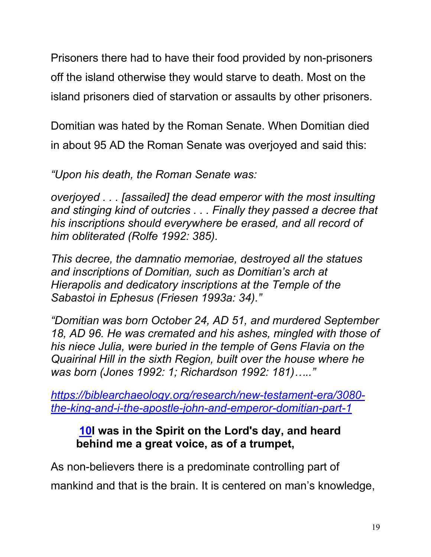Prisoners there had to have their food provided by non-prisoners off the island otherwise they would starve to death. Most on the island prisoners died of starvation or assaults by other prisoners.

Domitian was hated by the Roman Senate. When Domitian died in about 95 AD the Roman Senate was overjoyed and said this:

*"Upon his death, the Roman Senate was:*

*overjoyed . . . [assailed] the dead emperor with the most insulting and stinging kind of outcries . . . Finally they passed a decree that his inscriptions should everywhere be erased, and all record of him obliterated (Rolfe 1992: 385).*

*This decree, the damnatio memoriae, destroyed all the statues and inscriptions of Domitian, such as Domitian's arch at Hierapolis and dedicatory inscriptions at the Temple of the Sabastoi in Ephesus (Friesen 1993a: 34)."*

*"Domitian was born October 24, AD 51, and murdered September 18, AD 96. He was cremated and his ashes, mingled with those of his niece Julia, were buried in the temple of Gens Flavia on the Quairinal Hill in the sixth Region, built over the house where he was born (Jones 1992: 1; Richardson 1992: 181)….."*

*https://biblearchaeology.org/research/new-testament-era/3080 the-king-and-i-the-apostle-john-and-emperor-domitian-part-1*

#### **10I was in the Spirit on the Lord's day, and heard behind me a great voice, as of a trumpet,**

As non-believers there is a predominate controlling part of mankind and that is the brain. It is centered on man's knowledge,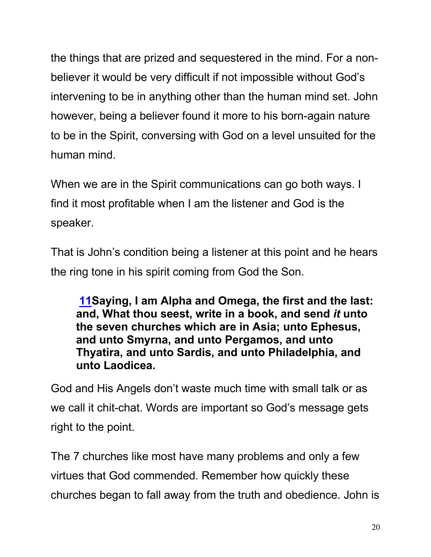the things that are prized and sequestered in the mind. For a nonbeliever it would be very difficult if not impossible without God's intervening to be in anything other than the human mind set. John however, being a believer found it more to his born-again nature to be in the Spirit, conversing with God on a level unsuited for the human mind.

When we are in the Spirit communications can go both ways. I find it most profitable when I am the listener and God is the speaker.

That is John's condition being a listener at this point and he hears the ring tone in his spirit coming from God the Son.

**11Saying, I am Alpha and Omega, the first and the last: and, What thou seest, write in a book, and send** *it* **unto the seven churches which are in Asia; unto Ephesus, and unto Smyrna, and unto Pergamos, and unto Thyatira, and unto Sardis, and unto Philadelphia, and unto Laodicea.**

God and His Angels don't waste much time with small talk or as we call it chit-chat. Words are important so God's message gets right to the point.

The 7 churches like most have many problems and only a few virtues that God commended. Remember how quickly these churches began to fall away from the truth and obedience. John is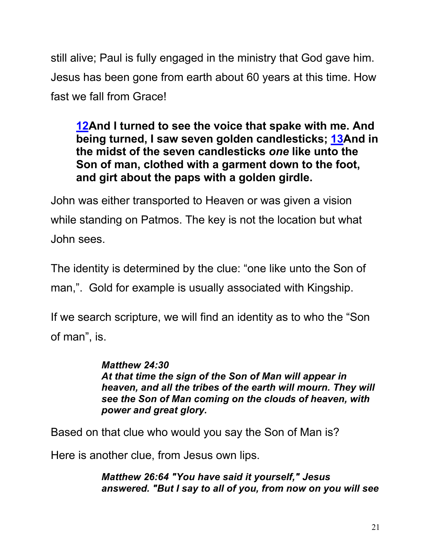still alive; Paul is fully engaged in the ministry that God gave him. Jesus has been gone from earth about 60 years at this time. How fast we fall from Grace!

**12And I turned to see the voice that spake with me. And being turned, I saw seven golden candlesticks; 13And in the midst of the seven candlesticks** *one* **like unto the Son of man, clothed with a garment down to the foot, and girt about the paps with a golden girdle.**

John was either transported to Heaven or was given a vision while standing on Patmos. The key is not the location but what John sees.

The identity is determined by the clue: "one like unto the Son of man,". Gold for example is usually associated with Kingship.

If we search scripture, we will find an identity as to who the "Son of man", is.

> *Matthew 24:30 At that time the sign of the Son of Man will appear in heaven, and all the tribes of the earth will mourn. They will see the Son of Man coming on the clouds of heaven, with power and great glory.*

Based on that clue who would you say the Son of Man is?

Here is another clue, from Jesus own lips.

*Matthew 26:64 "You have said it yourself," Jesus answered. "But I say to all of you, from now on you will see*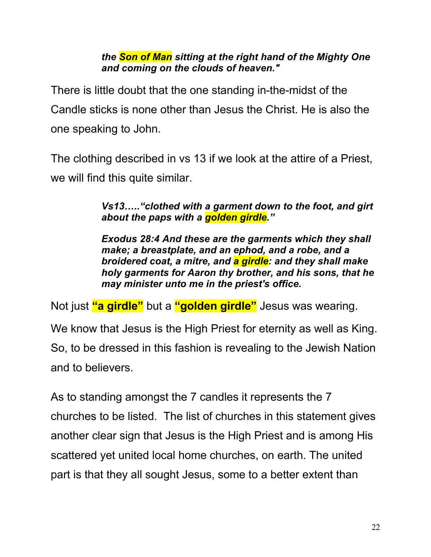#### *the Son of Man sitting at the right hand of the Mighty One and coming on the clouds of heaven."*

There is little doubt that the one standing in-the-midst of the Candle sticks is none other than Jesus the Christ. He is also the one speaking to John.

The clothing described in vs 13 if we look at the attire of a Priest, we will find this quite similar.

> *Vs13….."clothed with a garment down to the foot, and girt about the paps with a golden girdle."*

> *Exodus 28:4 And these are the garments which they shall make; a breastplate, and an ephod, and a robe, and a broidered coat, a mitre, and a girdle: and they shall make holy garments for Aaron thy brother, and his sons, that he may minister unto me in the priest's office.*

Not just **"a girdle"** but a **"golden girdle"** Jesus was wearing.

We know that Jesus is the High Priest for eternity as well as King. So, to be dressed in this fashion is revealing to the Jewish Nation and to believers.

As to standing amongst the 7 candles it represents the 7 churches to be listed. The list of churches in this statement gives another clear sign that Jesus is the High Priest and is among His scattered yet united local home churches, on earth. The united part is that they all sought Jesus, some to a better extent than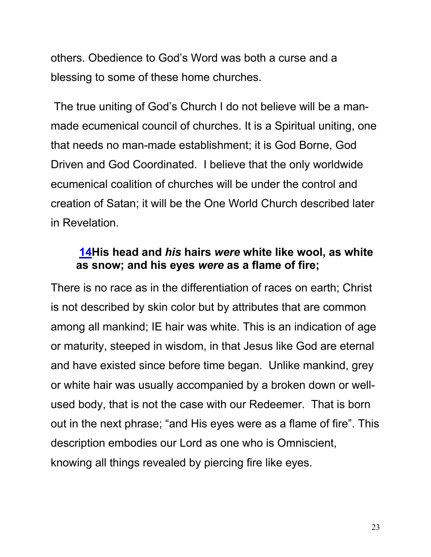others. Obedience to God's Word was both a curse and a blessing to some of these home churches.

The true uniting of God's Church I do not believe will be a manmade ecumenical council of churches. It is a Spiritual uniting, one that needs no man-made establishment; it is God Borne, God Driven and God Coordinated. I believe that the only worldwide ecumenical coalition of churches will be under the control and creation of Satan; it will be the One World Church described later in Revelation.

#### **14His head and** *his* **hairs** *were* **white like wool, as white as snow; and his eyes** *were* **as a flame of fire;**

There is no race as in the differentiation of races on earth; Christ is not described by skin color but by attributes that are common among all mankind; IE hair was white. This is an indication of age or maturity, steeped in wisdom, in that Jesus like God are eternal and have existed since before time began. Unlike mankind, grey or white hair was usually accompanied by a broken down or wellused body, that is not the case with our Redeemer. That is born out in the next phrase; "and His eyes were as a flame of fire". This description embodies our Lord as one who is Omniscient, knowing all things revealed by piercing fire like eyes.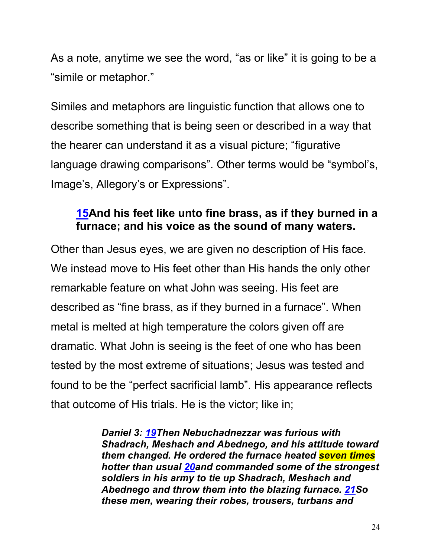As a note, anytime we see the word, "as or like" it is going to be a "simile or metaphor."

Similes and metaphors are linguistic function that allows one to describe something that is being seen or described in a way that the hearer can understand it as a visual picture; "figurative language drawing comparisons". Other terms would be "symbol's, Image's, Allegory's or Expressions".

#### **15And his feet like unto fine brass, as if they burned in a furnace; and his voice as the sound of many waters.**

Other than Jesus eyes, we are given no description of His face. We instead move to His feet other than His hands the only other remarkable feature on what John was seeing. His feet are described as "fine brass, as if they burned in a furnace". When metal is melted at high temperature the colors given off are dramatic. What John is seeing is the feet of one who has been tested by the most extreme of situations; Jesus was tested and found to be the "perfect sacrificial lamb". His appearance reflects that outcome of His trials. He is the victor; like in;

> *Daniel 3: 19Then Nebuchadnezzar was furious with Shadrach, Meshach and Abednego, and his attitude toward them changed. He ordered the furnace heated seven times hotter than usual 20and commanded some of the strongest soldiers in his army to tie up Shadrach, Meshach and Abednego and throw them into the blazing furnace. 21So these men, wearing their robes, trousers, turbans and*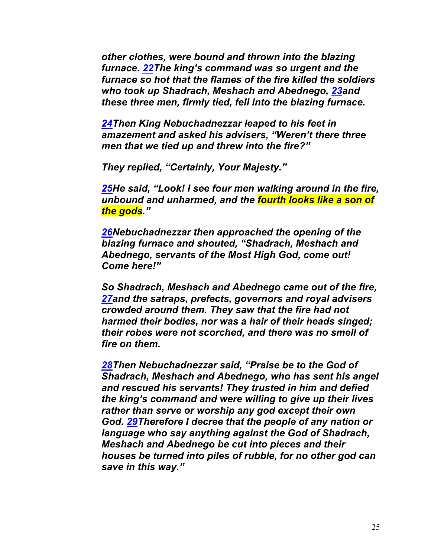*other clothes, were bound and thrown into the blazing furnace. 22The king's command was so urgent and the furnace so hot that the flames of the fire killed the soldiers who took up Shadrach, Meshach and Abednego, 23and these three men, firmly tied, fell into the blazing furnace.*

*24Then King Nebuchadnezzar leaped to his feet in amazement and asked his advisers, "Weren't there three men that we tied up and threw into the fire?"*

*They replied, "Certainly, Your Majesty."*

*25He said, "Look! I see four men walking around in the fire, unbound and unharmed, and the fourth looks like a son of the gods."*

*26Nebuchadnezzar then approached the opening of the blazing furnace and shouted, "Shadrach, Meshach and Abednego, servants of the Most High God, come out! Come here!"*

*So Shadrach, Meshach and Abednego came out of the fire, 27and the satraps, prefects, governors and royal advisers crowded around them. They saw that the fire had not harmed their bodies, nor was a hair of their heads singed; their robes were not scorched, and there was no smell of fire on them.*

*28Then Nebuchadnezzar said, "Praise be to the God of Shadrach, Meshach and Abednego, who has sent his angel and rescued his servants! They trusted in him and defied the king's command and were willing to give up their lives rather than serve or worship any god except their own God. 29Therefore I decree that the people of any nation or language who say anything against the God of Shadrach, Meshach and Abednego be cut into pieces and their houses be turned into piles of rubble, for no other god can save in this way."*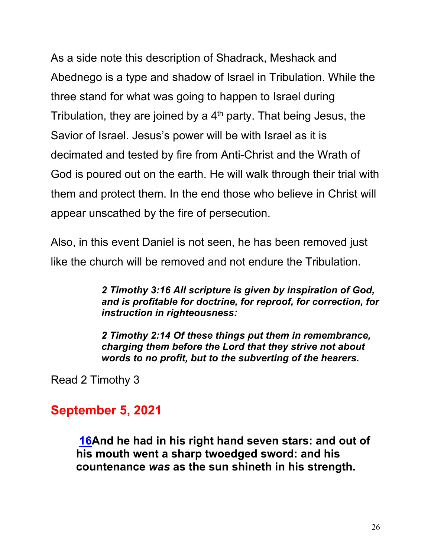As a side note this description of Shadrack, Meshack and Abednego is a type and shadow of Israel in Tribulation. While the three stand for what was going to happen to Israel during Tribulation, they are joined by a  $4<sup>th</sup>$  party. That being Jesus, the Savior of Israel. Jesus's power will be with Israel as it is decimated and tested by fire from Anti-Christ and the Wrath of God is poured out on the earth. He will walk through their trial with them and protect them. In the end those who believe in Christ will appear unscathed by the fire of persecution.

Also, in this event Daniel is not seen, he has been removed just like the church will be removed and not endure the Tribulation.

> *2 Timothy 3:16 All scripture is given by inspiration of God, and is profitable for doctrine, for reproof, for correction, for instruction in righteousness:*

*2 Timothy 2:14 Of these things put them in remembrance, charging them before the Lord that they strive not about words to no profit, but to the subverting of the hearers.*

Read 2 Timothy 3

### **September 5, 2021**

**16And he had in his right hand seven stars: and out of his mouth went a sharp twoedged sword: and his countenance** *was* **as the sun shineth in his strength.**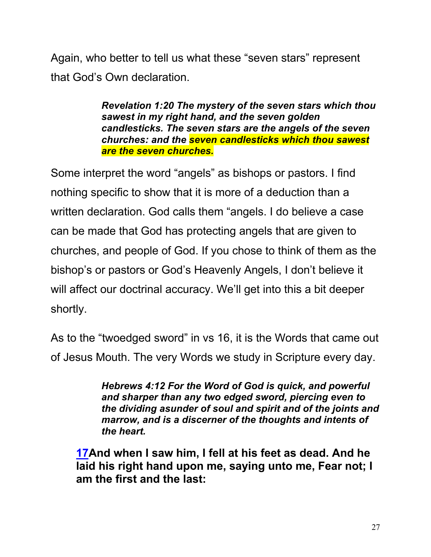Again, who better to tell us what these "seven stars" represent that God's Own declaration.

> *Revelation 1:20 The mystery of the seven stars which thou sawest in my right hand, and the seven golden candlesticks. The seven stars are the angels of the seven churches: and the seven candlesticks which thou sawest are the seven churches.*

Some interpret the word "angels" as bishops or pastors. I find nothing specific to show that it is more of a deduction than a written declaration. God calls them "angels. I do believe a case can be made that God has protecting angels that are given to churches, and people of God. If you chose to think of them as the bishop's or pastors or God's Heavenly Angels, I don't believe it will affect our doctrinal accuracy. We'll get into this a bit deeper shortly.

As to the "twoedged sword" in vs 16, it is the Words that came out of Jesus Mouth. The very Words we study in Scripture every day.

> *Hebrews 4:12 For the Word of God is quick, and powerful and sharper than any two edged sword, piercing even to the dividing asunder of soul and spirit and of the joints and marrow, and is a discerner of the thoughts and intents of the heart.*

**17And when I saw him, I fell at his feet as dead. And he laid his right hand upon me, saying unto me, Fear not; I am the first and the last:**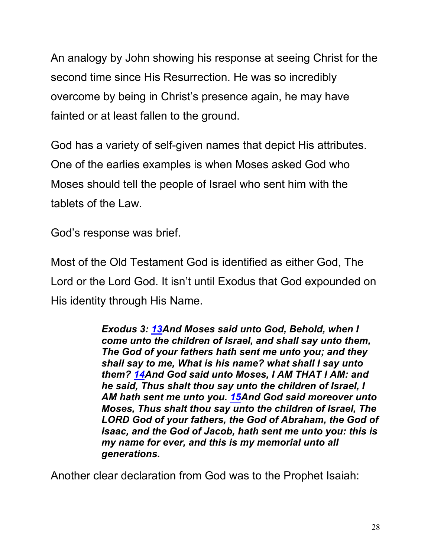An analogy by John showing his response at seeing Christ for the second time since His Resurrection. He was so incredibly overcome by being in Christ's presence again, he may have fainted or at least fallen to the ground.

God has a variety of self-given names that depict His attributes. One of the earlies examples is when Moses asked God who Moses should tell the people of Israel who sent him with the tablets of the Law.

God's response was brief.

Most of the Old Testament God is identified as either God, The Lord or the Lord God. It isn't until Exodus that God expounded on His identity through His Name.

> *Exodus 3: 13And Moses said unto God, Behold, when I come unto the children of Israel, and shall say unto them, The God of your fathers hath sent me unto you; and they shall say to me, What is his name? what shall I say unto them? 14And God said unto Moses, I AM THAT I AM: and he said, Thus shalt thou say unto the children of Israel, I AM hath sent me unto you. 15And God said moreover unto Moses, Thus shalt thou say unto the children of Israel, The LORD God of your fathers, the God of Abraham, the God of Isaac, and the God of Jacob, hath sent me unto you: this is my name for ever, and this is my memorial unto all generations.*

Another clear declaration from God was to the Prophet Isaiah: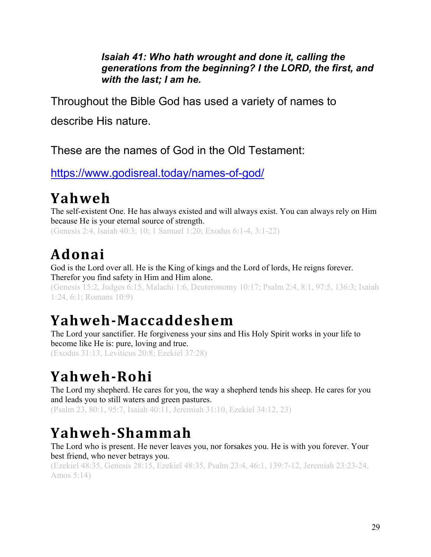#### *Isaiah 41: Who hath wrought and done it, calling the generations from the beginning? I the LORD, the first, and with the last; I am he.*

Throughout the Bible God has used a variety of names to

describe His nature.

These are the names of God in the Old Testament:

https://www.godisreal.today/names-of-god/

## **Yahweh**

The self-existent One. He has always existed and will always exist. You can always rely on Him because He is your eternal source of strength.

(Genesis 2:4, Isaiah 40:3; 10; 1 Samuel 1:20; Exodus 6:1-4, 3:1-22)

## **Adonai**

God is the Lord over all. He is the King of kings and the Lord of lords, He reigns forever. Therefor you find safety in Him and Him alone.

(Genesis 15:2, Judges 6:15, Malachi 1:6, Deuteronomy 10:17; Psalm 2:4, 8:1, 97:5, 136:3; Isaiah 1:24, 6:1; Romans 10:9)

## **Yahweh-Maccaddeshem**

The Lord your sanctifier. He forgiveness your sins and His Holy Spirit works in your life to become like He is: pure, loving and true. (Exodus 31:13, Leviticus 20:8; Ezekiel 37:28)

# **Yahweh-Rohi**

The Lord my shepherd. He cares for you, the way a shepherd tends his sheep. He cares for you and leads you to still waters and green pastures.

(Psalm 23, 80:1, 95:7, Isaiah 40:11, Jeremiah 31:10, Ezekiel 34:12, 23)

## **Yahweh-Shammah**

The Lord who is present. He never leaves you, nor forsakes you. He is with you forever. Your best friend, who never betrays you.

(Ezekiel 48:35, Genesis 28:15, Ezekiel 48:35, Psalm 23:4, 46:1, 139:7-12, Jeremiah 23:23-24, Amos 5:14)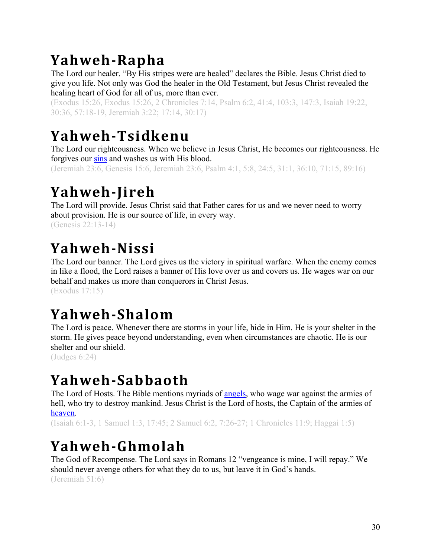# **Yahweh-Rapha**

The Lord our healer. "By His stripes were are healed" declares the Bible. Jesus Christ died to give you life. Not only was God the healer in the Old Testament, but Jesus Christ revealed the healing heart of God for all of us, more than ever.

(Exodus 15:26, Exodus 15:26, 2 Chronicles 7:14, Psalm 6:2, 41:4, 103:3, 147:3, Isaiah 19:22, 30:36, 57:18-19, Jeremiah 3:22; 17:14, 30:17)

## **Yahweh-Tsidkenu**

The Lord our righteousness. When we believe in Jesus Christ, He becomes our righteousness. He forgives our sins and washes us with His blood.

(Jeremiah 23:6, Genesis 15:6, Jeremiah 23:6, Psalm 4:1, 5:8, 24:5, 31:1, 36:10, 71:15, 89:16)

## **Yahweh-Jireh**

The Lord will provide. Jesus Christ said that Father cares for us and we never need to worry about provision. He is our source of life, in every way. (Genesis 22:13-14)

## **Yahweh-Nissi**

The Lord our banner. The Lord gives us the victory in spiritual warfare. When the enemy comes in like a flood, the Lord raises a banner of His love over us and covers us. He wages war on our behalf and makes us more than conquerors in Christ Jesus. (Exodus 17:15)

## **Yahweh-Shalom**

The Lord is peace. Whenever there are storms in your life, hide in Him. He is your shelter in the storm. He gives peace beyond understanding, even when circumstances are chaotic. He is our shelter and our shield.

(Judges 6:24)

## **Yahweh-Sabbaoth**

The Lord of Hosts. The Bible mentions myriads of angels, who wage war against the armies of hell, who try to destroy mankind. Jesus Christ is the Lord of hosts, the Captain of the armies of heaven.

(Isaiah 6:1-3, 1 Samuel 1:3, 17:45; 2 Samuel 6:2, 7:26-27; 1 Chronicles 11:9; Haggai 1:5)

## **Yahweh-Ghmolah**

The God of Recompense. The Lord says in Romans 12 "vengeance is mine, I will repay." We should never avenge others for what they do to us, but leave it in God's hands. (Jeremiah 51:6)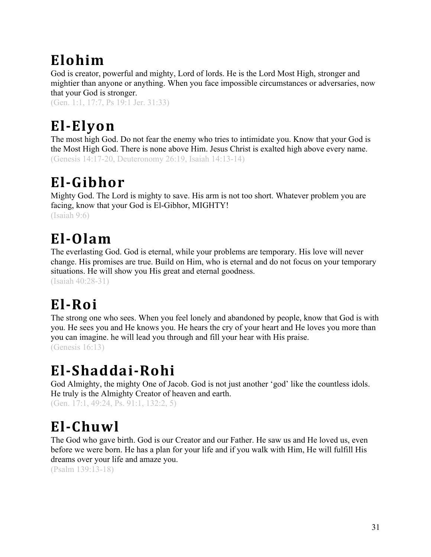# **Elohim**

God is creator, powerful and mighty, Lord of lords. He is the Lord Most High, stronger and mightier than anyone or anything. When you face impossible circumstances or adversaries, now that your God is stronger.

(Gen. 1:1, 17:7, Ps 19:1 Jer. 31:33)

# **El-Elyon**

The most high God. Do not fear the enemy who tries to intimidate you. Know that your God is the Most High God. There is none above Him. Jesus Christ is exalted high above every name. (Genesis 14:17-20, Deuteronomy 26:19, Isaiah 14:13-14)

## **El-Gibhor**

Mighty God. The Lord is mighty to save. His arm is not too short. Whatever problem you are facing, know that your God is El-Gibhor, MIGHTY! (Isaiah 9:6)

### **El-Olam**

The everlasting God. God is eternal, while your problems are temporary. His love will never change. His promises are true. Build on Him, who is eternal and do not focus on your temporary situations. He will show you His great and eternal goodness.

(Isaiah 40:28-31)

# **El-Roi**

The strong one who sees. When you feel lonely and abandoned by people, know that God is with you. He sees you and He knows you. He hears the cry of your heart and He loves you more than you can imagine. he will lead you through and fill your hear with His praise. (Genesis 16:13)

### **El-Shaddai-Rohi**

God Almighty, the mighty One of Jacob. God is not just another 'god' like the countless idols. He truly is the Almighty Creator of heaven and earth.

(Gen. 17:1, 49:24, Ps. 91:1, 132:2, 5)

## **El-Chuwl**

The God who gave birth. God is our Creator and our Father. He saw us and He loved us, even before we were born. He has a plan for your life and if you walk with Him, He will fulfill His dreams over your life and amaze you.

(Psalm 139:13-18)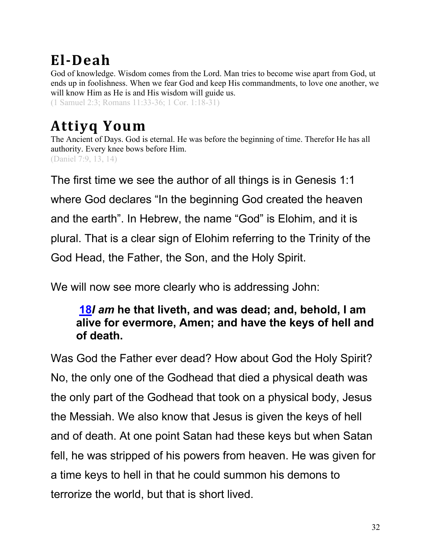## **El-Deah**

God of knowledge. Wisdom comes from the Lord. Man tries to become wise apart from God, ut ends up in foolishness. When we fear God and keep His commandments, to love one another, we will know Him as He is and His wisdom will guide us.

(1 Samuel 2:3; Romans 11:33-36; 1 Cor. 1:18-31)

# **Attiyq Youm**

The Ancient of Days. God is eternal. He was before the beginning of time. Therefor He has all authority. Every knee bows before Him. (Daniel 7:9, 13, 14)

The first time we see the author of all things is in Genesis 1:1 where God declares "In the beginning God created the heaven and the earth". In Hebrew, the name "God" is Elohim, and it is plural. That is a clear sign of Elohim referring to the Trinity of the God Head, the Father, the Son, and the Holy Spirit.

We will now see more clearly who is addressing John:

#### **18***I am* **he that liveth, and was dead; and, behold, I am alive for evermore, Amen; and have the keys of hell and of death.**

Was God the Father ever dead? How about God the Holy Spirit? No, the only one of the Godhead that died a physical death was the only part of the Godhead that took on a physical body, Jesus the Messiah. We also know that Jesus is given the keys of hell and of death. At one point Satan had these keys but when Satan fell, he was stripped of his powers from heaven. He was given for a time keys to hell in that he could summon his demons to terrorize the world, but that is short lived.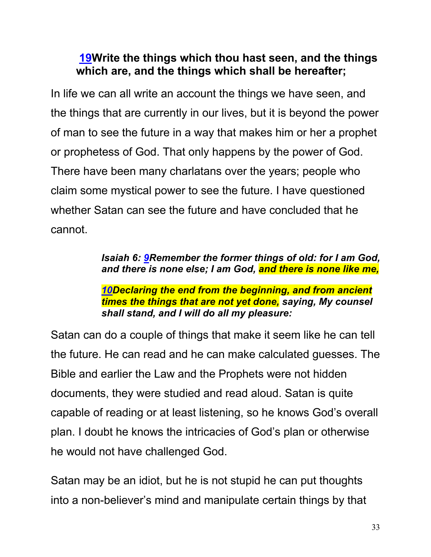#### **19Write the things which thou hast seen, and the things which are, and the things which shall be hereafter;**

In life we can all write an account the things we have seen, and the things that are currently in our lives, but it is beyond the power of man to see the future in a way that makes him or her a prophet or prophetess of God. That only happens by the power of God. There have been many charlatans over the years; people who claim some mystical power to see the future. I have questioned whether Satan can see the future and have concluded that he cannot.

#### *Isaiah 6: 9Remember the former things of old: for I am God, and there is none else; I am God, and there is none like me,*

#### *10Declaring the end from the beginning, and from ancient times the things that are not yet done, saying, My counsel shall stand, and I will do all my pleasure:*

Satan can do a couple of things that make it seem like he can tell the future. He can read and he can make calculated guesses. The Bible and earlier the Law and the Prophets were not hidden documents, they were studied and read aloud. Satan is quite capable of reading or at least listening, so he knows God's overall plan. I doubt he knows the intricacies of God's plan or otherwise he would not have challenged God.

Satan may be an idiot, but he is not stupid he can put thoughts into a non-believer's mind and manipulate certain things by that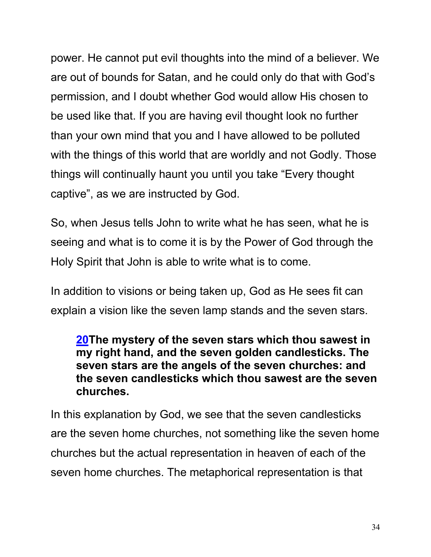power. He cannot put evil thoughts into the mind of a believer. We are out of bounds for Satan, and he could only do that with God's permission, and I doubt whether God would allow His chosen to be used like that. If you are having evil thought look no further than your own mind that you and I have allowed to be polluted with the things of this world that are worldly and not Godly. Those things will continually haunt you until you take "Every thought captive", as we are instructed by God.

So, when Jesus tells John to write what he has seen, what he is seeing and what is to come it is by the Power of God through the Holy Spirit that John is able to write what is to come.

In addition to visions or being taken up, God as He sees fit can explain a vision like the seven lamp stands and the seven stars.

#### **20The mystery of the seven stars which thou sawest in my right hand, and the seven golden candlesticks. The seven stars are the angels of the seven churches: and the seven candlesticks which thou sawest are the seven churches.**

In this explanation by God, we see that the seven candlesticks are the seven home churches, not something like the seven home churches but the actual representation in heaven of each of the seven home churches. The metaphorical representation is that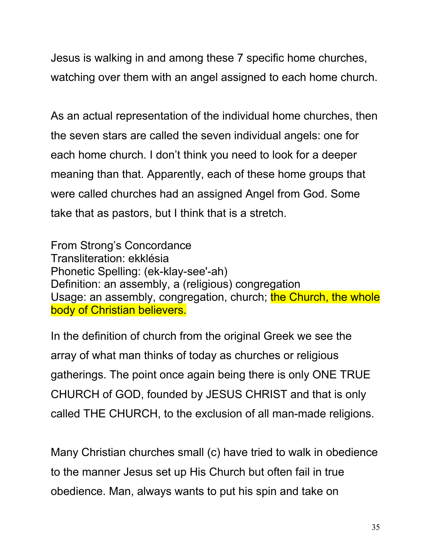Jesus is walking in and among these 7 specific home churches, watching over them with an angel assigned to each home church.

As an actual representation of the individual home churches, then the seven stars are called the seven individual angels: one for each home church. I don't think you need to look for a deeper meaning than that. Apparently, each of these home groups that were called churches had an assigned Angel from God. Some take that as pastors, but I think that is a stretch.

From Strong's Concordance Transliteration: ekklésia Phonetic Spelling: (ek-klay-see'-ah) Definition: an assembly, a (religious) congregation Usage: an assembly, congregation, church; the Church, the whole body of Christian believers.

In the definition of church from the original Greek we see the array of what man thinks of today as churches or religious gatherings. The point once again being there is only ONE TRUE CHURCH of GOD, founded by JESUS CHRIST and that is only called THE CHURCH, to the exclusion of all man-made religions.

Many Christian churches small (c) have tried to walk in obedience to the manner Jesus set up His Church but often fail in true obedience. Man, always wants to put his spin and take on